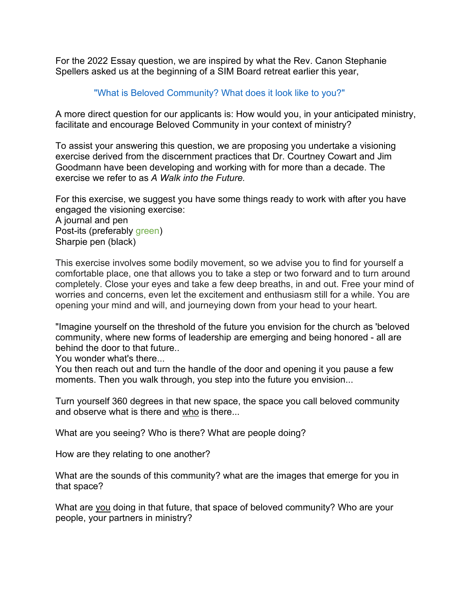For the 2022 Essay question, we are inspired by what the Rev. Canon Stephanie Spellers asked us at the beginning of a SIM Board retreat earlier this year,

## "What is Beloved Community? What does it look like to you?"

A more direct question for our applicants is: How would you, in your anticipated ministry, facilitate and encourage Beloved Community in your context of ministry?

To assist your answering this question, we are proposing you undertake a visioning exercise derived from the discernment practices that Dr. Courtney Cowart and Jim Goodmann have been developing and working with for more than a decade. The exercise we refer to as *A Walk into the Future.*

For this exercise, we suggest you have some things ready to work with after you have engaged the visioning exercise:

A journal and pen Post-its (preferably green) Sharpie pen (black)

This exercise involves some bodily movement, so we advise you to find for yourself a comfortable place, one that allows you to take a step or two forward and to turn around completely. Close your eyes and take a few deep breaths, in and out. Free your mind of worries and concerns, even let the excitement and enthusiasm still for a while. You are opening your mind and will, and journeying down from your head to your heart.

"Imagine yourself on the threshold of the future you envision for the church as 'beloved community, where new forms of leadership are emerging and being honored - all are behind the door to that future..

You wonder what's there...

You then reach out and turn the handle of the door and opening it you pause a few moments. Then you walk through, you step into the future you envision...

Turn yourself 360 degrees in that new space, the space you call beloved community and observe what is there and who is there...

What are you seeing? Who is there? What are people doing?

How are they relating to one another?

What are the sounds of this community? what are the images that emerge for you in that space?

What are you doing in that future, that space of beloved community? Who are your people, your partners in ministry?